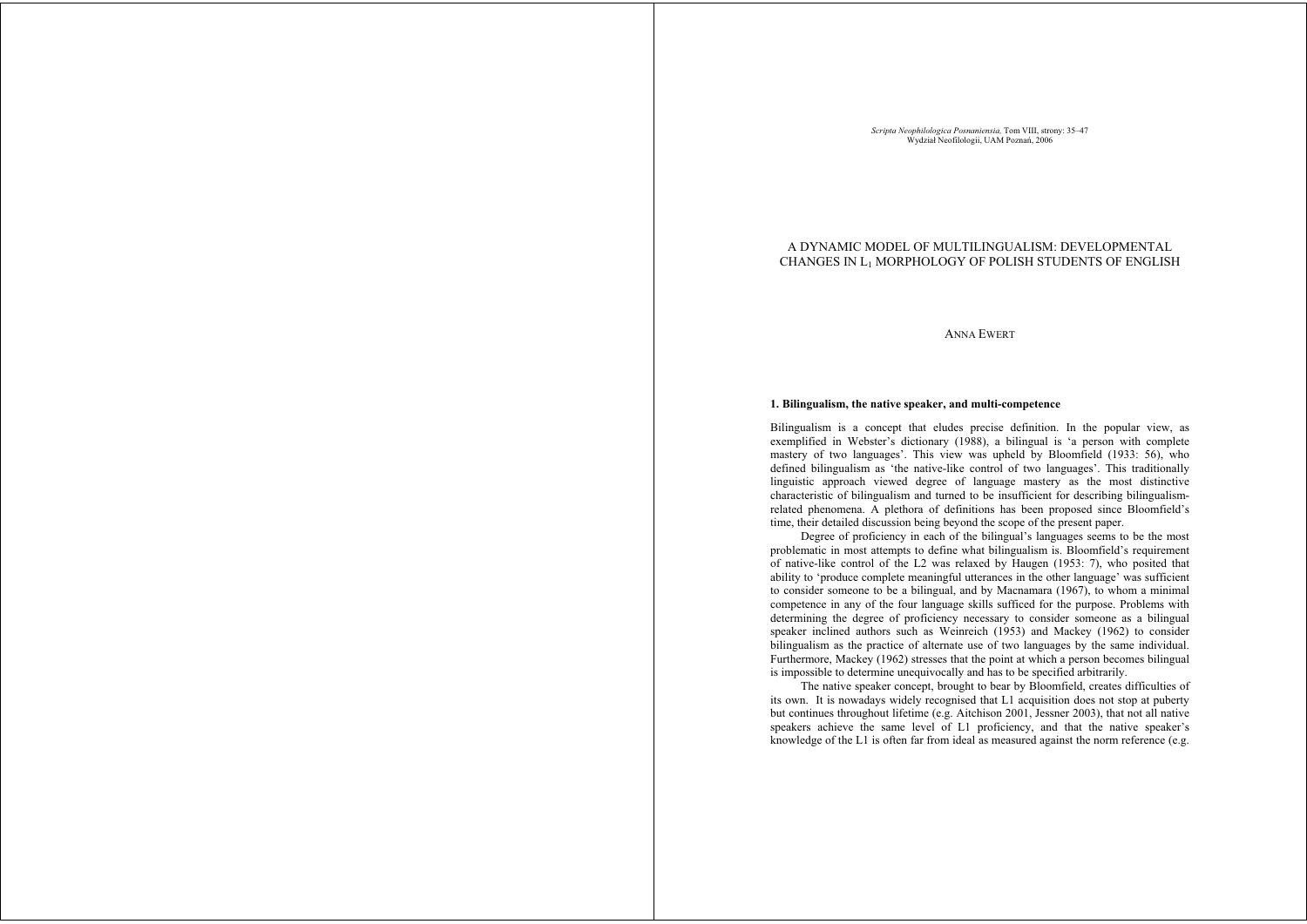*Scripta Neophilologica Posnaniensia,* Tom VIII, strony: 35–47<br>Wydział Neofilologii, UAM Poznań, 2006

# A DYNAMIC MODEL OF MULTILINGUALISM: DEVELOPMENTAL CHANGES IN L1 MORPHOLOGY OF POLISH STUDENTS OF ENGLISH

ANNA EWERT

### **1. Bilingualism, the native speaker, and multi-competence**

Bilingualism is a concept that eludes precise definition. In the popular view, as exemplified in Webster's dictionary (1988), a bilingual is 'a person with complete mastery of two languages'. This view was upheld by Bloomfield (1933: 56), who defined bilingualism as 'the native-like control of two languages'. This traditionally linguistic approach viewed degree of language mastery as the most distinctive characteristic of bilingualism and turned to be insufficient for describing bilingualismrelated phenomena. A plethora of definitions has been proposed since Bloomfield's time, their detailed discussion being beyond the scope of the present paper.

Degree of proficiency in each of the bilingual's languages seems to be the most problematic in most attempts to define what bilingualism is. Bloomfield's requirement of native-like control of the L2 was relaxed by Haugen (1953: 7), who posited that ability to 'produce complete meaningful utterances in the other language' was sufficient to consider someone to be a bilingual, and by Macnamara (1967), to whom a minimal competence in any of the four language skills sufficed for the purpose. Problems with determining the degree of proficiency necessary to consider someone as a bilingual speaker inclined authors such as Weinreich (1953) and Mackey (1962) to consider bilingualism as the practice of alternate use of two languages by the same individual. Furthermore, Mackey (1962) stresses that the point at which a person becomes bilingual is impossible to determine unequivocally and has to be specified arbitrarily.

The native speaker concept, brought to bear by Bloomfield, creates difficulties of its own. It is nowadays widely recognised that L1 acquisition does not stop at puberty but continues throughout lifetime (e.g. Aitchison 2001, Jessner 2003), that not all native speakers achieve the same level of L1 proficiency, and that the native speaker's knowledge of the L1 is often far from ideal as measured against the norm reference (e.g.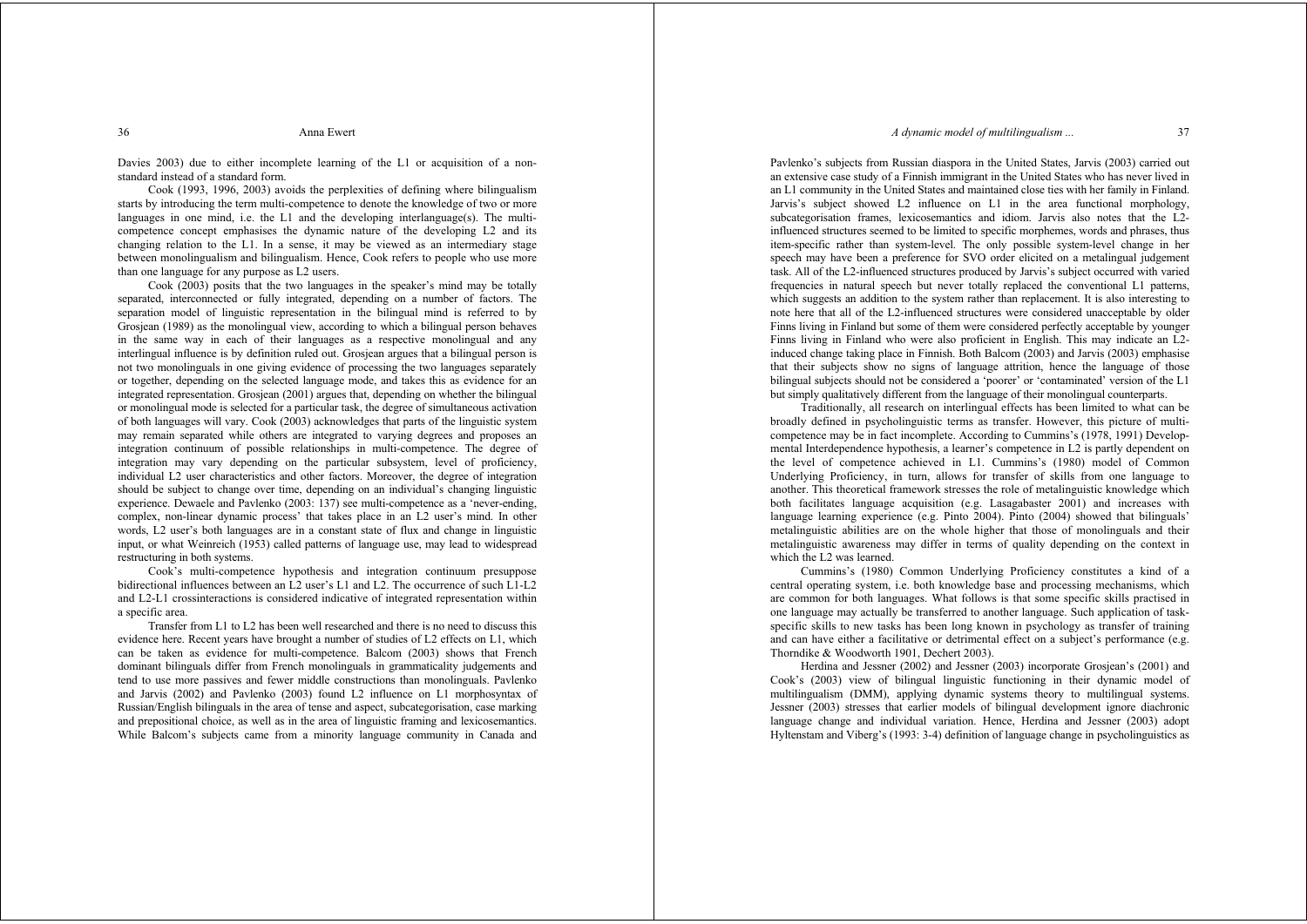### *A dynamic model of multilingualism* 37

Davies 2003) due to either incomplete learning of the L1 or acquisition of a nonstandard instead of a standard form.

 Cook (1993, 1996, 2003) avoids the perplexities of defining where bilingualism starts by introducing the term multi-competence to denote the knowledge of two or more languages in one mind, i.e. the L1 and the developing interlanguage(s). The multicompetence concept emphasises the dynamic nature of the developing L2 and its changing relation to the L1. In a sense, it may be viewed as an intermediary stage between monolingualism and bilingualism. Hence, Cook refers to people who use more than one language for any purpose as L2 users.

 Cook (2003) posits that the two languages in the speaker's mind may be totally separated, interconnected or fully integrated, depending on a number of factors. The separation model of linguistic representation in the bilingual mind is referred to by Grosjean (1989) as the monolingual view, according to which a bilingual person behaves in the same way in each of their languages as a respective monolingual and any interlingual influence is by definition ruled out. Grosjean argues that a bilingual person is not two monolinguals in one giving evidence of processing the two languages separately or together, depending on the selected language mode, and takes this as evidence for an integrated representation. Grosjean (2001) argues that, depending on whether the bilingual or monolingual mode is selected for a particular task, the degree of simultaneous activation of both languages will vary. Cook (2003) acknowledges that parts of the linguistic system may remain separated while others are integrated to varying degrees and proposes an integration continuum of possible relationships in multi-competence. The degree of integration may vary depending on the particular subsystem, level of proficiency, individual L2 user characteristics and other factors. Moreover, the degree of integration should be subject to change over time, depending on an individual's changing linguistic experience. Dewaele and Pavlenko (2003: 137) see multi-competence as a 'never-ending, complex, non-linear dynamic process' that takes place in an L2 user's mind. In other words, L2 user's both languages are in a constant state of flux and change in linguistic input, or what Weinreich (1953) called patterns of language use, may lead to widespread restructuring in both systems.

 Cook's multi-competence hypothesis and integration continuum presuppose bidirectional influences between an L2 user's L1 and L2. The occurrence of such L1-L2 and L2-L1 crossinteractions is considered indicative of integrated representation within a specific area.

 Transfer from L1 to L2 has been well researched and there is no need to discuss this evidence here. Recent years have brought a number of studies of L2 effects on L1, which can be taken as evidence for multi-competence. Balcom (2003) shows that French dominant bilinguals differ from French monolinguals in grammaticality judgements and tend to use more passives and fewer middle constructions than monolinguals. Pavlenko and Jarvis (2002) and Pavlenko (2003) found L2 influence on L1 morphosyntax of Russian/English bilinguals in the area of tense and aspect, subcategorisation, case marking and prepositional choice, as well as in the area of linguistic framing and lexicosemantics. While Balcom's subjects came from a minority language community in Canada and

Pavlenko's subjects from Russian diaspora in the United States, Jarvis (2003) carried out an extensive case study of a Finnish immigrant in the United States who has never lived in an L1 community in the United States and maintained close ties with her family in Finland. Jarvis's subject showed L2 influence on L1 in the area functional morphology, subcategorisation frames, lexicosemantics and idiom. Jarvis also notes that the L2influenced structures seemed to be limited to specific morphemes, words and phrases, thus item-specific rather than system-level. The only possible system-level change in her speech may have been a preference for SVO order elicited on a metalingual judgement task. All of the L2-influenced structures produced by Jarvis's subject occurred with varied frequencies in natural speech but never totally replaced the conventional L1 patterns, which suggests an addition to the system rather than replacement. It is also interesting to note here that all of the L2-influenced structures were considered unacceptable by older Finns living in Finland but some of them were considered perfectly acceptable by younger Finns living in Finland who were also proficient in English. This may indicate an L2 induced change taking place in Finnish. Both Balcom (2003) and Jarvis (2003) emphasise that their subjects show no signs of language attrition, hence the language of those bilingual subjects should not be considered a 'poorer' or 'contaminated' version of the L1 but simply qualitatively different from the language of their monolingual counterparts.

 Traditionally, all research on interlingual effects has been limited to what can be broadly defined in psycholinguistic terms as transfer. However, this picture of multicompetence may be in fact incomplete. According to Cummins's (1978, 1991) Developmental Interdependence hypothesis, a learner's competence in L2 is partly dependent on the level of competence achieved in L1. Cummins's (1980) model of Common Underlying Proficiency, in turn, allows for transfer of skills from one language to another. This theoretical framework stresses the role of metalinguistic knowledge which both facilitates language acquisition (e.g. Lasagabaster 2001) and increases with language learning experience (e.g. Pinto 2004). Pinto (2004) showed that bilinguals' metalinguistic abilities are on the whole higher that those of monolinguals and their metalinguistic awareness may differ in terms of quality depending on the context in which the L2 was learned.

 Cummins's (1980) Common Underlying Proficiency constitutes a kind of a central operating system, i.e. both knowledge base and processing mechanisms, which are common for both languages. What follows is that some specific skills practised in one language may actually be transferred to another language. Such application of taskspecific skills to new tasks has been long known in psychology as transfer of training and can have either a facilitative or detrimental effect on a subject's performance (e.g. Thorndike & Woodworth 1901, Dechert 2003).

 Herdina and Jessner (2002) and Jessner (2003) incorporate Grosjean's (2001) and Cook's (2003) view of bilingual linguistic functioning in their dynamic model of multilingualism (DMM), applying dynamic systems theory to multilingual systems. Jessner (2003) stresses that earlier models of bilingual development ignore diachronic language change and individual variation. Hence, Herdina and Jessner (2003) adopt Hyltenstam and Viberg's (1993: 3-4) definition of language change in psycholinguistics as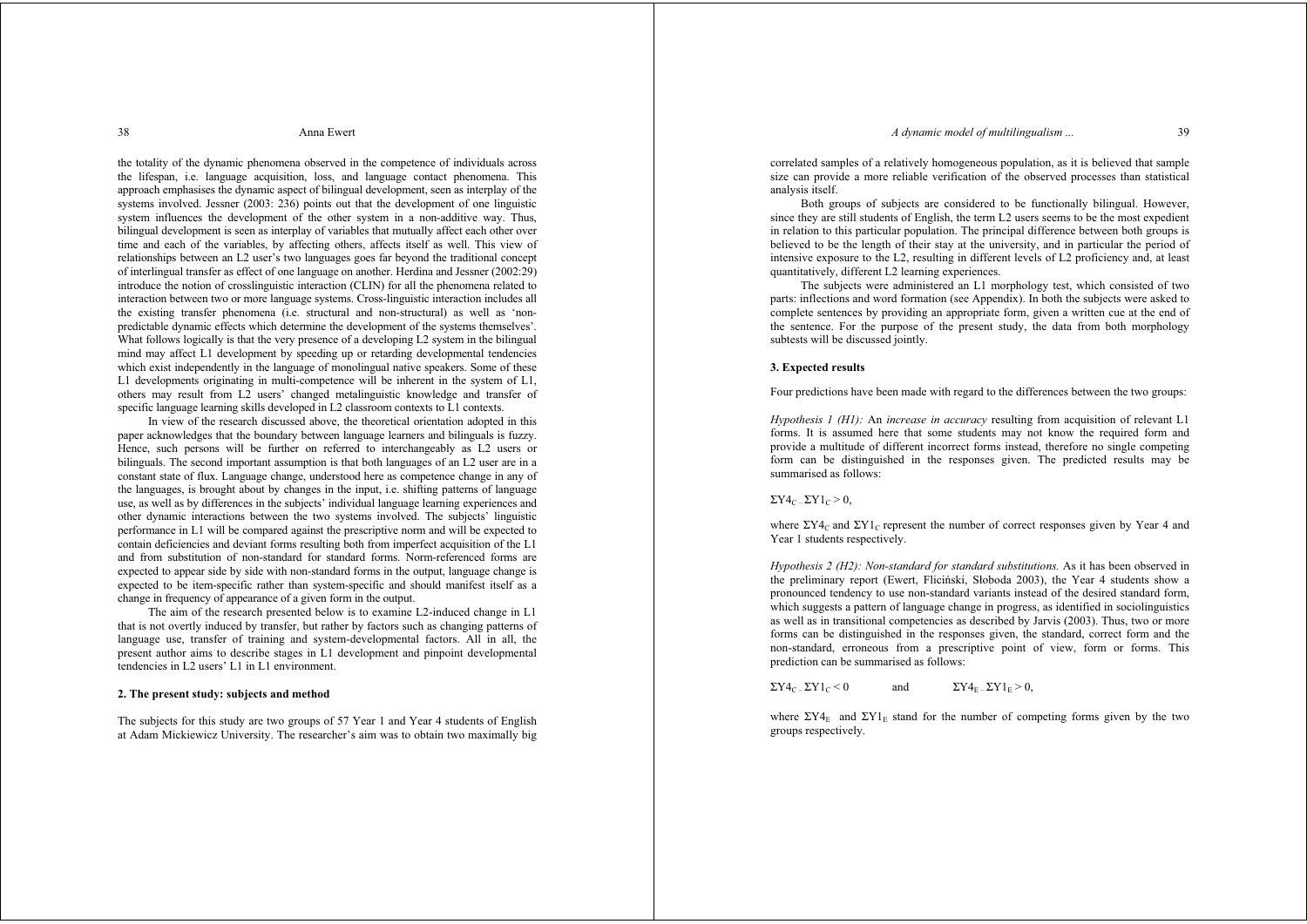### *A dynamic model of multilingualism* 29

38 Anna Ewert

the totality of the dynamic phenomena observed in the competence of individuals across the lifespan, i.e. language acquisition, loss, and language contact phenomena. This approach emphasises the dynamic aspect of bilingual development, seen as interplay of the systems involved. Jessner (2003: 236) points out that the development of one linguistic system influences the development of the other system in a non-additive way. Thus, bilingual development is seen as interplay of variables that mutually affect each other over time and each of the variables, by affecting others, affects itself as well. This view of relationships between an L2 user's two languages goes far beyond the traditional concept of interlingual transfer as effect of one language on another. Herdina and Jessner (2002:29) introduce the notion of crosslinguistic interaction (CLIN) for all the phenomena related to interaction between two or more language systems. Cross-linguistic interaction includes all the existing transfer phenomena (i.e. structural and non-structural) as well as 'nonpredictable dynamic effects which determine the development of the systems themselves'. What follows logically is that the very presence of a developing L2 system in the bilingual mind may affect L1 development by speeding up or retarding developmental tendencies which exist independently in the language of monolingual native speakers. Some of these L1 developments originating in multi-competence will be inherent in the system of L1, others may result from L2 users' changed metalinguistic knowledge and transfer of specific language learning skills developed in L2 classroom contexts to L1 contexts.

 In view of the research discussed above, the theoretical orientation adopted in this paper acknowledges that the boundary between language learners and bilinguals is fuzzy. Hence, such persons will be further on referred to interchangeably as L2 users or bilinguals. The second important assumption is that both languages of an L2 user are in a constant state of flux. Language change, understood here as competence change in any of the languages, is brought about by changes in the input, i.e. shifting patterns of language use, as well as by differences in the subjects' individual language learning experiences and other dynamic interactions between the two systems involved. The subjects' linguistic performance in L1 will be compared against the prescriptive norm and will be expected to contain deficiencies and deviant forms resulting both from imperfect acquisition of the L1 and from substitution of non-standard for standard forms. Norm-referenced forms are expected to appear side by side with non-standard forms in the output, language change is expected to be item-specific rather than system-specific and should manifest itself as a change in frequency of appearance of a given form in the output.

 The aim of the research presented below is to examine L2-induced change in L1 that is not overtly induced by transfer, but rather by factors such as changing patterns of language use, transfer of training and system-developmental factors. All in all, the present author aims to describe stages in L1 development and pinpoint developmental tendencies in L2 users' L1 in L1 environment.

## **2. The present study: subjects and method**

The subjects for this study are two groups of 57 Year 1 and Year 4 students of English at Adam Mickiewicz University. The researcher's aim was to obtain two maximally big

correlated samples of a relatively homogeneous population, as it is believed that sample size can provide a more reliable verification of the observed processes than statistical analysis itself.

 Both groups of subjects are considered to be functionally bilingual. However, since they are still students of English, the term L2 users seems to be the most expedient in relation to this particular population. The principal difference between both groups is believed to be the length of their stay at the university, and in particular the period of intensive exposure to the L2, resulting in different levels of L2 proficiency and, at least quantitatively, different L2 learning experiences.

 The subjects were administered an L1 morphology test, which consisted of two parts: inflections and word formation (see Appendix). In both the subjects were asked to complete sentences by providing an appropriate form, given a written cue at the end of the sentence. For the purpose of the present study, the data from both morphology subtests will be discussed jointly.

## **3. Expected results**

Four predictions have been made with regard to the differences between the two groups:

*Hypothesis 1 (H1):* An *increase in accuracy* resulting from acquisition of relevant L1 forms. It is assumed here that some students may not know the required form and provide a multitude of different incorrect forms instead, therefore no single competing form can be distinguished in the responses given. The predicted results may be summarised as follows:

 $\Sigma Y4_C \Sigma Y1_C > 0$ .

where  $\Sigma Y 4_C$  and  $\Sigma Y 1_C$  represent the number of correct responses given by Year 4 and Year 1 students respectively.

*Hypothesis 2 (H2): Non-standard for standard substitutions.* As it has been observed in the preliminary report (Ewert, Fliciński, Słoboda 2003), the Year 4 students show a pronounced tendency to use non-standard variants instead of the desired standard form, which suggests a pattern of language change in progress, as identified in sociolinguistics as well as in transitional competencies as described by Jarvis (2003). Thus, two or more forms can be distinguished in the responses given, the standard, correct form and the non-standard, erroneous from a prescriptive point of view, form or forms. This prediction can be summarised as follows:

 $\Sigma Y 4_C - \Sigma Y 1_C \le 0$  and  $\Sigma Y 4_E - \Sigma Y 1_E \ge 0$ ,

where  $\Sigma Y4_E$  and  $\Sigma Y1_E$  stand for the number of competing forms given by the two groups respectively.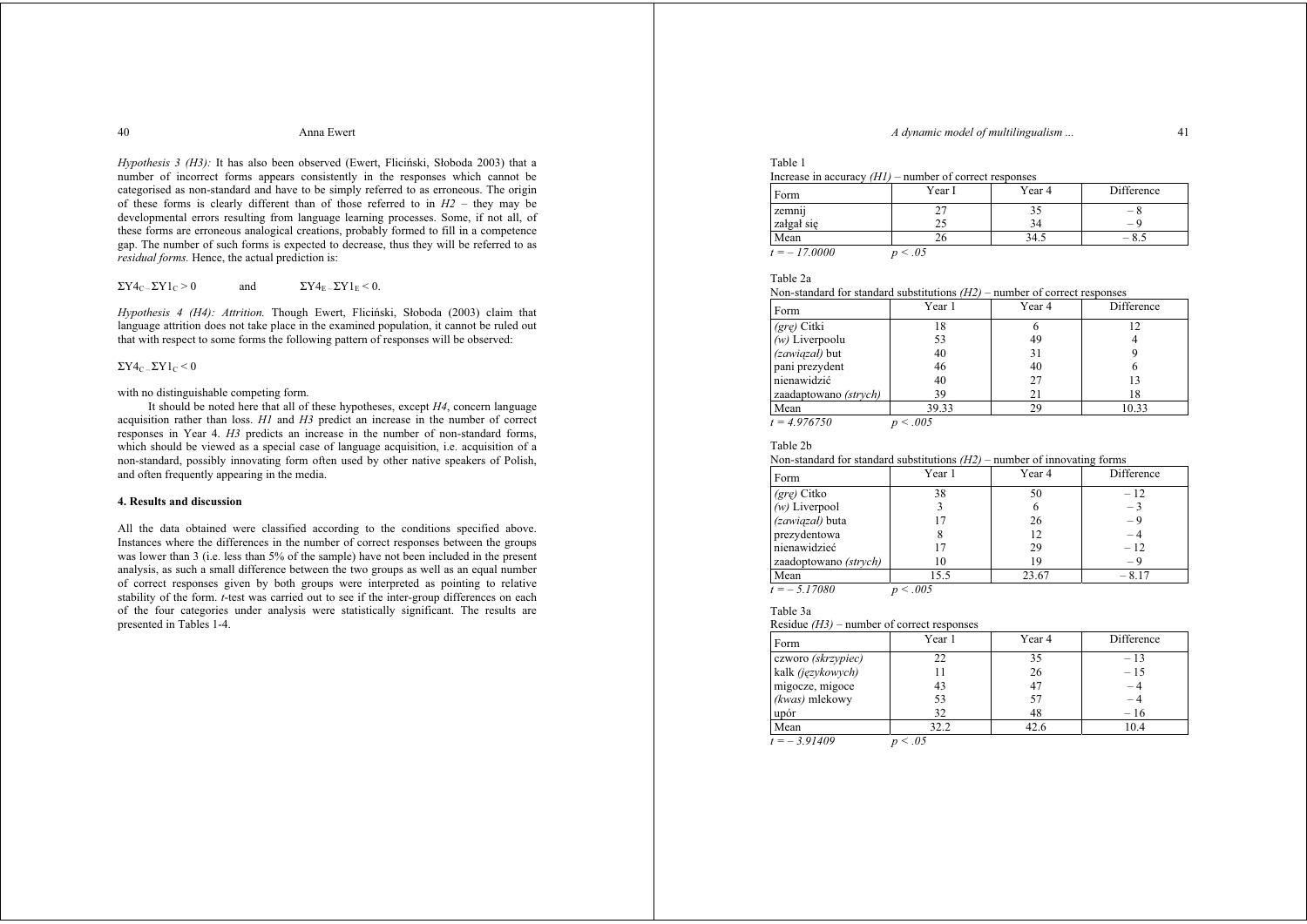## *A dynamic model of multilingualism ...* 41

#### 40 Anna Ewert

*Hypothesis 3 (H3):* It has also been observed (Ewert, Flicinski, Słoboda 2003) that a number of incorrect forms appears consistently in the responses which cannot be categorised as non-standard and have to be simply referred to as erroneous. The origin of these forms is clearly different than of those referred to in *H2* – they may be developmental errors resulting from language learning processes. Some, if not all, of these forms are erroneous analogical creations, probably formed to fill in a competence gap. The number of such forms is expected to decrease, thus they will be referred to as *residual forms.* Hence, the actual prediction is:

$$
\Sigma Y 4_{C-} \Sigma Y 1_{C} > 0
$$
 and  $\Sigma Y 4_{E-} \Sigma Y 1_{E} < 0$ .

*Hypothesis 4 (H4): Attrition.* Though Ewert, Fliciński, Słoboda (2003) claim that language attrition does not take place in the examined population, it cannot be ruled out that with respect to some forms the following pattern of responses will be observed:

## $\Sigma Y4_C - \Sigma Y1_C \leq 0$

with no distinguishable competing form.

 It should be noted here that all of these hypotheses, except *H4*, concern language acquisition rather than loss. *H1* and *H3* predict an increase in the number of correct responses in Year 4. *H3* predicts an increase in the number of non-standard forms, which should be viewed as a special case of language acquisition, i.e. acquisition of a non-standard, possibly innovating form often used by other native speakers of Polish, and often frequently appearing in the media.

## **4. Results and discussion**

All the data obtained were classified according to the conditions specified above. Instances where the differences in the number of correct responses between the groups was lower than 3 (i.e. less than 5% of the sample) have not been included in the present analysis, as such a small difference between the two groups as well as an equal number of correct responses given by both groups were interpreted as pointing to relative stability of the form. *t*-test was carried out to see if the inter-group differences on each of the four categories under analysis were statistically significant. The results are presented in Tables 1-4.

# Table 1

| Increase in accuracy $(H1)$ – number of correct responses |  |
|-----------------------------------------------------------|--|
|-----------------------------------------------------------|--|

| Form               | Year I     | Year 4 | Difference                      |
|--------------------|------------|--------|---------------------------------|
| $\cdots$<br>zemnij |            | 35     | — 8                             |
| załgał się         |            | 34     | $\hspace{0.1mm}-\hspace{0.1mm}$ |
| Mean               | ۷n         | 34.5   |                                 |
| $t = -17,0000$     | $\leq .05$ |        |                                 |

# Table 2a

Non-standard for standard substitutions *(H2)* – number of correct responses

| Form                  | Year 1 | Year 4 | Difference |
|-----------------------|--------|--------|------------|
| (gre) Citki           | 18     |        | 12         |
| $(w)$ Liverpoolu      | 53     | 49     |            |
| (zawiązał) but        | 40     | 31     |            |
| pani prezydent        | 46     | 40     |            |
| nienawidzić           | 40     | 27     | 13         |
| zaadaptowano (strych) | 39     | 21     | 18         |
| Mean                  | 39.33  | 29     | 10.33      |

*t = 4.976750 p < .005*

### Table 2b

### Non-standard for standard substitutions *(H2)* – number of innovating forms

| Form                  | Year 1       | Year 4 | Difference |
|-----------------------|--------------|--------|------------|
| (gre) Citko           | 38           | 50     | $-12$      |
| $(w)$ Liverpool       |              | 6      | $-3$       |
| (zawiązał) buta       | 17           | 26     | - 9        |
| prezydentowa          |              | 12     | - 4        |
| nienawidzieć          | 17           | 29     | $-12$      |
| zaadoptowano (strych) | 10           | 19     | - 9        |
| Mean                  | 15.5         | 23.67  | $-8.17$    |
| $t = -5.17080$        | $\leq 0.005$ |        |            |

# Table 3a

### Residue *(H3)* – number of correct responses

| Form               | Year 1               | Year 4 | Difference |
|--------------------|----------------------|--------|------------|
| czworo (skrzypiec) | フフ                   | 35     | $-13$      |
| kalk (językowych)  |                      | 26     | $-15$      |
| migocze, migoce    | 43                   | 47     | $-4$       |
| (kwas) mlekowy     | 53                   | 57     |            |
| upór               | 32                   | 48     | $-16$      |
| Mean               | 32.2                 | 42.6   | 10.4       |
| 0.01100            | $\sim$ $\sim$ $\sim$ |        |            |

*t = – 3.91409 p < .05*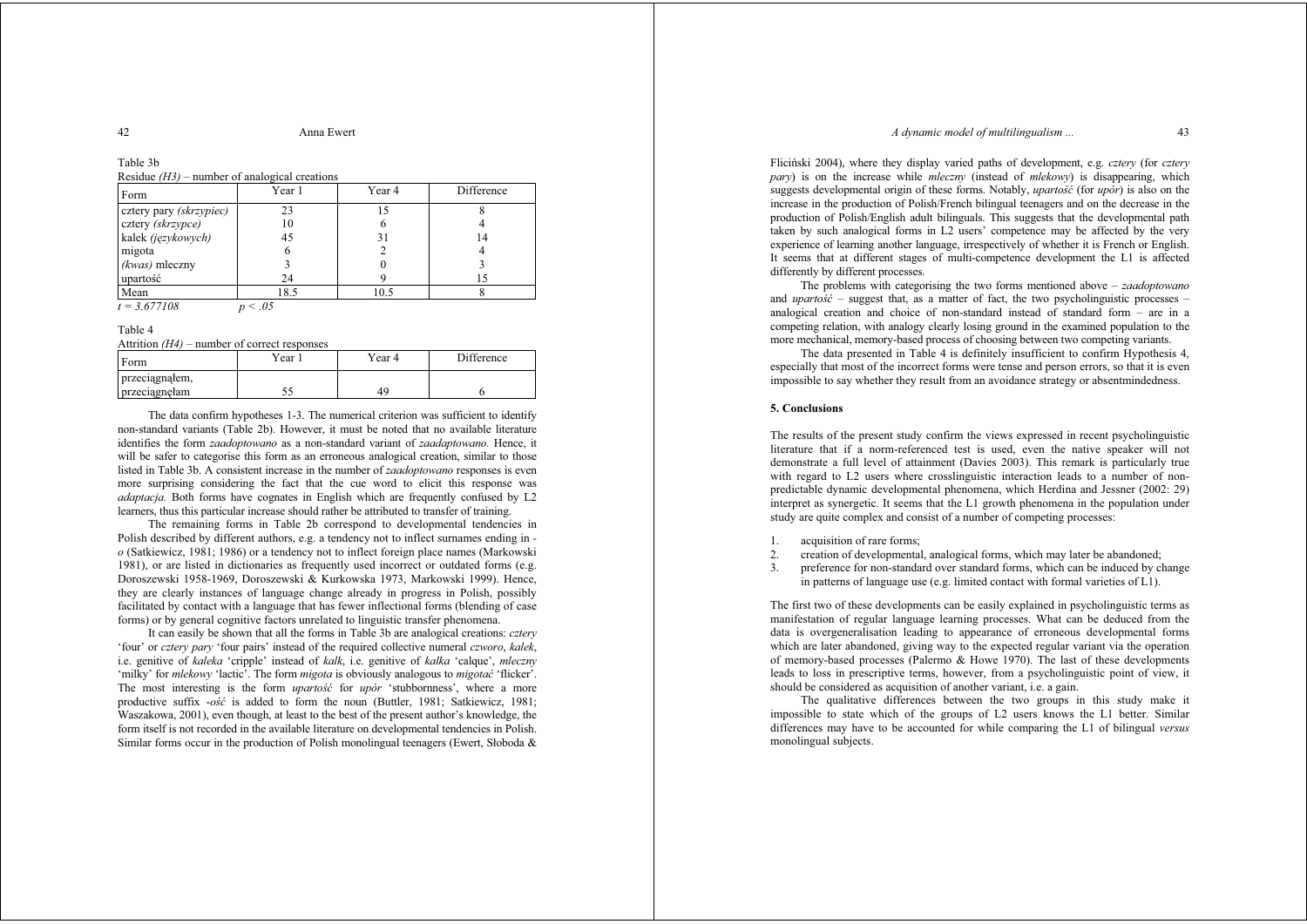### *A dynamic model of multilingualism* 43

42 Anna Ewert

## Table 3b

Residue *(H3)* – number of analogical creations

| Form                    | Year 1       | Year 4 | Difference |
|-------------------------|--------------|--------|------------|
| cztery pary (skrzypiec) | 23           | 15     |            |
| cztery (skrzypce)       | 10           |        |            |
| kalek (językowych)      | 45           | 31     | 14         |
| migota                  | <sub>(</sub> |        |            |
| (kwas) mleczny          |              |        |            |
| upartość                | 24           |        | 15         |
| Mean                    | 18.5         | 10.5   |            |
| $t = 3.677108$          | $\leq .05$   |        |            |

Table 4

Attrition *(H4)* – number of correct responses

| Form           | Year 1 | Year 4 | Difference |
|----------------|--------|--------|------------|
| przeciągnąłem, |        |        |            |
| przeciągnęłam  |        | 49     |            |

 The data confirm hypotheses 1-3. The numerical criterion was sufficient to identify non-standard variants (Table 2b). However, it must be noted that no available literature identifies the form *zaadoptowano* as a non-standard variant of *zaadaptowano.* Hence, it will be safer to categorise this form as an erroneous analogical creation, similar to those listed in Table 3b. A consistent increase in the number of *zaadoptowano* responses is even more surprising considering the fact that the cue word to elicit this response was *adaptacja.* Both forms have cognates in English which are frequently confused by L2 learners, thus this particular increase should rather be attributed to transfer of training.

 The remaining forms in Table 2b correspond to developmental tendencies in Polish described by different authors, e.g. a tendency not to inflect surnames ending in  *<sup>o</sup>* (Satkiewicz, 1981; 1986) or a tendency not to inflect foreign place names (Markowski 1981), or are listed in dictionaries as frequently used incorrect or outdated forms (e.g. Doroszewski 1958-1969, Doroszewski & Kurkowska 1973, Markowski 1999). Hence, they are clearly instances of language change already in progress in Polish, possibly facilitated by contact with a language that has fewer inflectional forms (blending of case forms) or by general cognitive factors unrelated to linguistic transfer phenomena.

 It can easily be shown that all the forms in Table 3b are analogical creations: *cztery* 'four' or *cztery pary* 'four pairs' instead of the required collective numeral *czworo*, *kalek*, i.e. genitive of *kaleka* 'cripple' instead of *kalk*, i.e. genitive of *kalka* 'calque', *mleczny* 'milky' for *mlekowy* 'lactic'. The form *migota* is obviously analogous to *migotaü* 'flicker'. The most interesting is the form *upartos*<sup>*ic*</sup> for *upor* 'stubbornness', where a more productive suffix -*oĞü* is added to form the noun (Buttler, 1981; Satkiewicz, 1981; Waszakowa, 2001), even though, at least to the best of the present author's knowledge, the form itself is not recorded in the available literature on developmental tendencies in Polish. Similar forms occur in the production of Polish monolingual teenagers (Ewert, Słoboda  $\&$ 

Fliciński 2004), where they display varied paths of development, e.g. *cztery* (for *cztery pary*) is on the increase while *mleczny* (instead of *mlekowy*) is disappearing, which suggests developmental origin of these forms. Notably, *upartosc* (for *upor*) is also on the increase in the production of Polish/French bilingual teenagers and on the decrease in the production of Polish/English adult bilinguals. This suggests that the developmental path taken by such analogical forms in L2 users' competence may be affected by the very experience of learning another language, irrespectively of whether it is French or English. It seems that at different stages of multi-competence development the L1 is affected differently by different processes.

 The problems with categorising the two forms mentioned above – *zaadoptowano* and *upartos<sup>i</sup>* – suggest that, as a matter of fact, the two psycholinguistic processes – analogical creation and choice of non-standard instead of standard form – are in a competing relation, with analogy clearly losing ground in the examined population to the more mechanical, memory-based process of choosing between two competing variants.

The data presented in Table 4 is definitely insufficient to confirm Hypothesis 4, especially that most of the incorrect forms were tense and person errors, so that it is even impossible to say whether they result from an avoidance strategy or absentmindedness.

## **5. Conclusions**

The results of the present study confirm the views expressed in recent psycholinguistic literature that if a norm-referenced test is used, even the native speaker will not demonstrate a full level of attainment (Davies 2003). This remark is particularly true with regard to L2 users where crosslinguistic interaction leads to a number of nonpredictable dynamic developmental phenomena, which Herdina and Jessner (2002: 29) interpret as synergetic. It seems that the L1 growth phenomena in the population under study are quite complex and consist of a number of competing processes:

- 1. acquisition of rare forms;
- 2. creation of developmental, analogical forms, which may later be abandoned;
- 3. preference for non-standard over standard forms, which can be induced by change in patterns of language use (e.g. limited contact with formal varieties of L1).

The first two of these developments can be easily explained in psycholinguistic terms as manifestation of regular language learning processes. What can be deduced from the data is overgeneralisation leading to appearance of erroneous developmental forms which are later abandoned, giving way to the expected regular variant via the operation of memory-based processes (Palermo & Howe 1970). The last of these developments leads to loss in prescriptive terms, however, from a psycholinguistic point of view, it should be considered as acquisition of another variant, i.e. a gain.

The qualitative differences between the two groups in this study make it impossible to state which of the groups of L2 users knows the L1 better. Similar differences may have to be accounted for while comparing the L1 of bilingual *versus* monolingual subjects.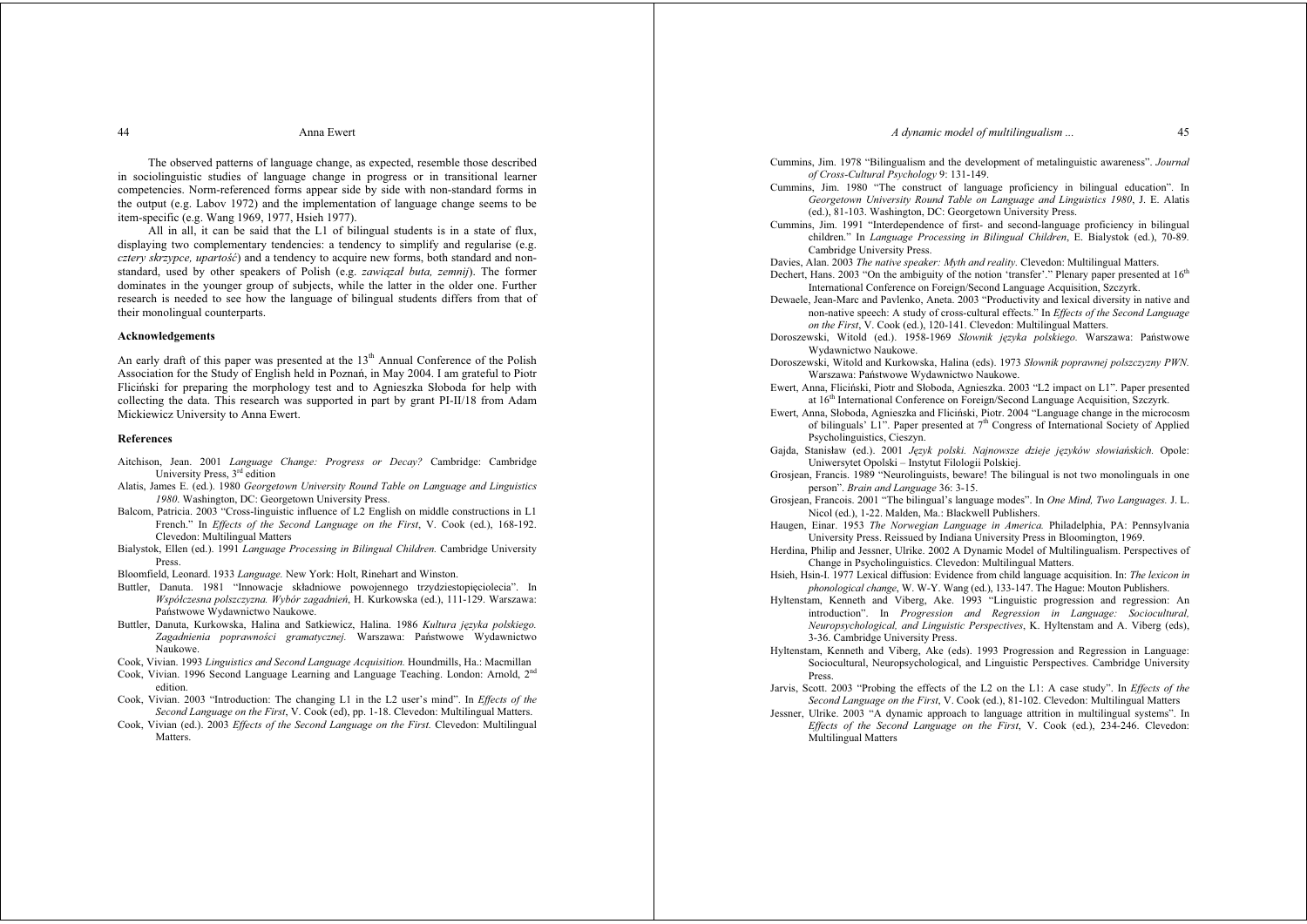### *A dynamic model of multilingualism ...* 45

 The observed patterns of language change, as expected, resemble those described in sociolinguistic studies of language change in progress or in transitional learner competencies. Norm-referenced forms appear side by side with non-standard forms in the output (e.g. Labov 1972) and the implementation of language change seems to be item-specific (e.g. Wang 1969, 1977, Hsieh 1977).

 All in all, it can be said that the L1 of bilingual students is in a state of flux, displaying two complementary tendencies: a tendency to simplify and regularise (e.g. *cztery skrzypce, upartość*) and a tendency to acquire new forms, both standard and nonstandard, used by other speakers of Polish (e.g. *zawiązaá buta, zemnij*). The former dominates in the younger group of subjects, while the latter in the older one. Further research is needed to see how the language of bilingual students differs from that of their monolingual counterparts.

## **Acknowledgements**

An early draft of this paper was presented at the  $13<sup>th</sup>$  Annual Conference of the Polish Association for the Study of English held in Poznań, in May 2004. I am grateful to Piotr Fliciński for preparing the morphology test and to Agnieszka Słoboda for help with collecting the data. This research was supported in part by grant PI-II/18 from Adam Mickiewicz University to Anna Ewert.

## **References**

- Aitchison, Jean. 2001 *Language Change: Progress or Decay?* Cambridge: Cambridge University Press, 3rd edition
- Alatis, James E. (ed.). 1980 *Georgetown University Round Table on Language and Linguistics 1980*. Washington, DC: Georgetown University Press.
- Balcom, Patricia. 2003 "Cross-linguistic influence of L2 English on middle constructions in L1 French." In *Effects of the Second Language on the First*, V. Cook (ed.), 168-192. Clevedon: Multilingual Matters
- Bialystok, Ellen (ed.). 1991 *Language Processing in Bilingual Children.* Cambridge University Press.
- Bloomfield, Leonard. 1933 *Language.* New York: Holt, Rinehart and Winston.
- Buttler, Danuta. 1981 "Innowacje składniowe powojennego trzydziestopięciolecia". In *Wspóáczesna polszczyzna. Wybór zagadnieĔ*, H. Kurkowska (ed.), 111-129. Warszawa: Państwowe Wydawnictwo Naukowe.
- Buttler, Danuta, Kurkowska, Halina and Satkiewicz, Halina. 1986 *Kultura języka polskiego*. Zagadnienia poprawności gramatycznej. Warszawa: Państwowe Wydawnictwo Naukowe.
- Cook, Vivian. 1993 *Linguistics and Second Language Acquisition.* Houndmills, Ha.: Macmillan
- Cook, Vivian. 1996 Second Language Learning and Language Teaching. London: Arnold, 2n<sup>d</sup> edition.
- Cook, Vivian. 2003 "Introduction: The changing L1 in the L2 user's mind". In *Effects of the Second Language on the First*, V. Cook (ed), pp. 1-18. Clevedon: Multilingual Matters.
- Cook, Vivian (ed.). 2003 *Effects of the Second Language on the First.* Clevedon: Multilingual Matters.
- Cummins, Jim. 1978 "Bilingualism and the development of metalinguistic awareness". *Journal of Cross-Cultural Psychology* 9: 131-149.
- Cummins, Jim. 1980 "The construct of language proficiency in bilingual education". In *Georgetown University Round Table on Language and Linguistics 1980*, J. E. Alatis (ed.), 81-103. Washington, DC: Georgetown University Press.
- Cummins, Jim. 1991 "Interdependence of first- and second-language proficiency in bilingual children." In *Language Processing in Bilingual Children*, E. Bialystok (ed.), 70-89*.* Cambridge University Press.
- Davies, Alan. 2003 *The native speaker: Myth and reality.* Clevedon: Multilingual Matters.
- Dechert, Hans. 2003 "On the ambiguity of the notion 'transfer'." Plenary paper presented at  $16<sup>th</sup>$ International Conference on Foreign/Second Language Acquisition, Szczyrk.
- Dewaele, Jean-Marc and Pavlenko, Aneta. 2003 "Productivity and lexical diversity in native and non-native speech: A study of cross-cultural effects." In *Effects of the Second Language on the First*, V. Cook (ed.), 120-141. Clevedon: Multilingual Matters.
- Doroszewski, Witold (ed.). 1958-1969 *Słownik jezyka polskiego*. Warszawa: Państwowe Wydawnictwo Naukowe.
- Doroszewski, Witold and Kurkowska, Halina (eds). 1973 *Sáownik poprawnej polszczyzny PWN.*  Warszawa: Państwowe Wydawnictwo Naukowe.
- Ewert, Anna, Fliciński, Piotr and Słoboda, Agnieszka. 2003 "L2 impact on L1". Paper presented at 16<sup>th</sup> International Conference on Foreign/Second Language Acquisition, Szczyrk.
- Ewert, Anna, Słoboda, Agnieszka and Fliciński, Piotr. 2004 "Language change in the microcosm of bilinguals' L1". Paper presented at  $7<sup>th</sup>$  Congress of International Society of Applied Psycholinguistics, Cieszyn.
- Gajda, Stanisáaw (ed.). 2001 *JĊzyk polski. Najnowsze dzieje j<sup>Ċ</sup>zyków sáowiaĔskich.* Opole: Uniwersytet Opolski – Instytut Filologii Polskiej.
- Grosjean, Francis. 1989 "Neurolinguists, beware! The bilingual is not two monolinguals in one person". *Brain and Language* 36: 3-15.
- Grosjean, Francois. 2001 "The bilingual's language modes". In *One Mind, Two Languages.* J. L. Nicol (ed.), 1-22. Malden, Ma.: Blackwell Publishers.
- Haugen, Einar. 1953 *The Norwegian Language in America.* Philadelphia, PA: Pennsylvania University Press. Reissued by Indiana University Press in Bloomington, 1969.
- Herdina, Philip and Jessner, Ulrike. 2002 A Dynamic Model of Multilingualism. Perspectives of Change in Psycholinguistics. Clevedon: Multilingual Matters.
- Hsieh, Hsin-I. 1977 Lexical diffusion: Evidence from child language acquisition. In: *The lexicon in phonological change*, W. W-Y. Wang (ed.), 133-147. The Hague: Mouton Publishers.
- Hyltenstam, Kenneth and Viberg, Ake. 1993 "Linguistic progression and regression: An introduction". In *Progression and Regression in Language: Sociocultural, Neuropsychological, and Linguistic Perspectives*, K. Hyltenstam and A. Viberg (eds), 3-36. Cambridge University Press.
- Hyltenstam, Kenneth and Viberg, Ake (eds). 1993 Progression and Regression in Language: Sociocultural, Neuropsychological, and Linguistic Perspectives. Cambridge University Press.
- Jarvis, Scott. 2003 "Probing the effects of the L2 on the L1: A case study". In *Effects of the Second Language on the First*, V. Cook (ed.), 81-102. Clevedon: Multilingual Matters
- Jessner, Ulrike. 2003 "A dynamic approach to language attrition in multilingual systems". In *Effects of the Second Language on the First*, V. Cook (ed.), 234-246. Clevedon: Multilingual Matters